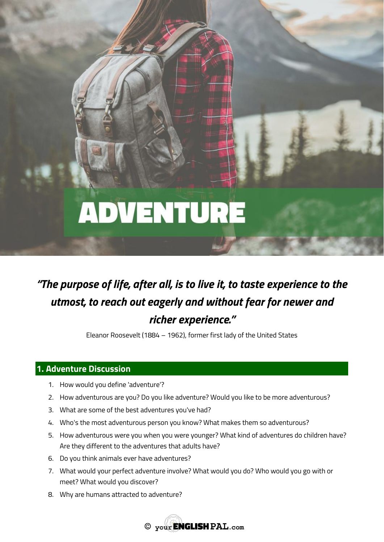# **ADVENTURE**

# *"The purpose of life, after all, is to live it, to taste experience to the utmost, to reach out eagerly and without fear for newer and richer experience."*

Eleanor Roosevelt (1884 – 1962), former first lady of the United States

# **1. Adventure Discussion**

- 1. How would you define 'adventure'?
- 2. How adventurous are you? Do you like adventure? Would you like to be more adventurous?
- 3. What are some of the best adventures you've had?
- 4. Who's the most adventurous person you know? What makes them so adventurous?
- 5. How adventurous were you when you were younger? What kind of adventures do children have? Are they different to the adventures that adults have?
- 6. Do you think animals ever have adventures?
- 7. What would your perfect adventure involve? What would you do? Who would you go with or meet? What would you discover?
- 8. Why are humans attracted to adventure?

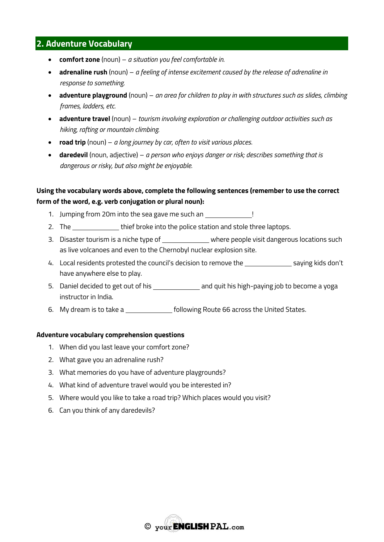# **2. Adventure Vocabulary**

- **comfort zone** (noun) *a situation you feel comfortable in.*
- **adrenaline rush** (noun) *a feeling of intense excitement caused by the release of adrenaline in response to something.*
- **adventure playground** (noun) *an area for children to play in with structures such as slides, climbing frames, ladders, etc.*
- **adventure travel** (noun) *tourism involving exploration or challenging outdoor activities such as hiking, rafting or mountain climbing.*
- **road trip** (noun) *a long journey by car, often to visit various places.*
- **daredevil** (noun, adjective) *a person who enjoys danger or risk; describes something that is dangerous or risky, but also might be enjoyable.*

## **Using the vocabulary words above, complete the following sentences (remember to use the correct form of the word, e.g. verb conjugation or plural noun):**

- 1. Jumping from 20m into the sea gave me such an !
- 2. The thief broke into the police station and stole three laptops.
- 3. Disaster tourism is a niche type of \_\_\_\_\_\_\_\_\_\_\_\_\_\_ where people visit dangerous locations such as live volcanoes and even to the Chernobyl nuclear explosion site.
- 4. Local residents protested the council's decision to remove the saying kids don't have anywhere else to play.
- 5. Daniel decided to get out of his and quit his high-paying job to become a yoga instructor in India.
- 6. My dream is to take a following Route 66 across the United States.

#### **Adventure vocabulary comprehension questions**

- 1. When did you last leave your comfort zone?
- 2. What gave you an adrenaline rush?
- 3. What memories do you have of adventure playgrounds?
- 4. What kind of adventure travel would you be interested in?
- 5. Where would you like to take a road trip? Which places would you visit?
- 6. Can you think of any daredevils?

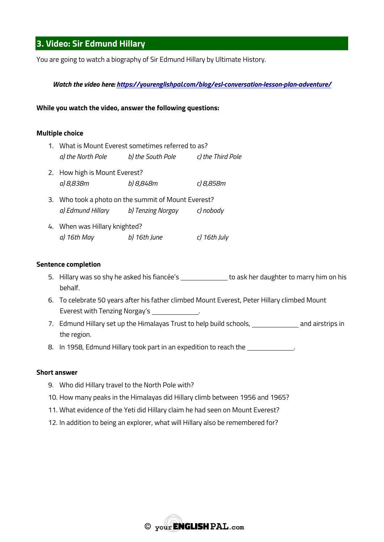# **3. Video: Sir Edmund Hillary**

You are going to watch a biography of Sir Edmund Hillary by Ultimate History.

#### *Watch the video here:<https://yourenglishpal.com/blog/esl-conversation-lesson-plan-adventure/>*

#### **While you watch the video, answer the following questions:**

#### **Multiple choice**

- 1. What is Mount Everest sometimes referred to as? *a) the North Pole b) the South Pole c) the Third Pole* 2. How high is Mount Everest?
- *a) 8,838m b) 8,848m c) 8,858m*
- 3. Who took a photo on the summit of Mount Everest? *a) Edmund Hillary b) Tenzing Norgay c) nobody*
- 4. When was Hillary knighted? *a) 16th May b) 16th June c) 16th July*

#### **Sentence completion**

- 5. Hillary was so shy he asked his fiancée's \_\_\_\_\_\_\_\_\_\_\_\_\_ to ask her daughter to marry him on his behalf.
- 6. To celebrate 50 years after his father climbed Mount Everest, Peter Hillary climbed Mount Everest with Tenzing Norgay's .
- 7. Edmund Hillary set up the Himalayas Trust to help build schools, and airstrips in the region.
- 8. In 1958, Edmund Hillary took part in an expedition to reach the **summary in the state of the state**.

#### **Short answer**

- 9. Who did Hillary travel to the North Pole with?
- 10. How many peaks in the Himalayas did Hillary climb between 1956 and 1965?
- 11. What evidence of the Yeti did Hillary claim he had seen on Mount Everest?
- 12. In addition to being an explorer, what will Hillary also be remembered for?